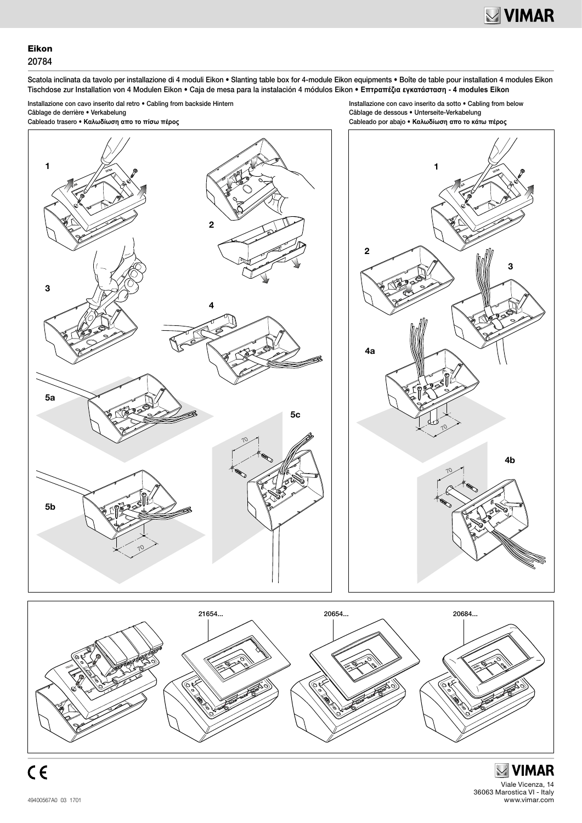3

**20784**

4b

## Eikon 20784

Scatola inclinata da tavolo per installazione di 4 moduli Eikon • Slanting table box for 4-module Eikon equipments • Boîte de table pour installation 4 modules Eikon Tischdose zur Installation von 4 Modulen Eikon • Caja de mesa para la instalación 4 módulos Eikon • **Επτραπέζια εγκατάσταση - 4 modules Eikon**

Installazione con cavo inserito dal retro • Cabling from backside Hintern Câblage de derrière • Verkabelung Cableado trasero • **Καλωδίωση απο το πίσω πέρος**

Installazione con cavo inserito da sotto • Cabling from below Câblage de dessous • Unterseite-Verkabelung Cableado por abajo • **Καλωδίωση απο το κάτω πέρος**

1

**VIMAR**

70

70





**MIMAR** Viale Vicenza, 14 36063 Marostica VI - Italy